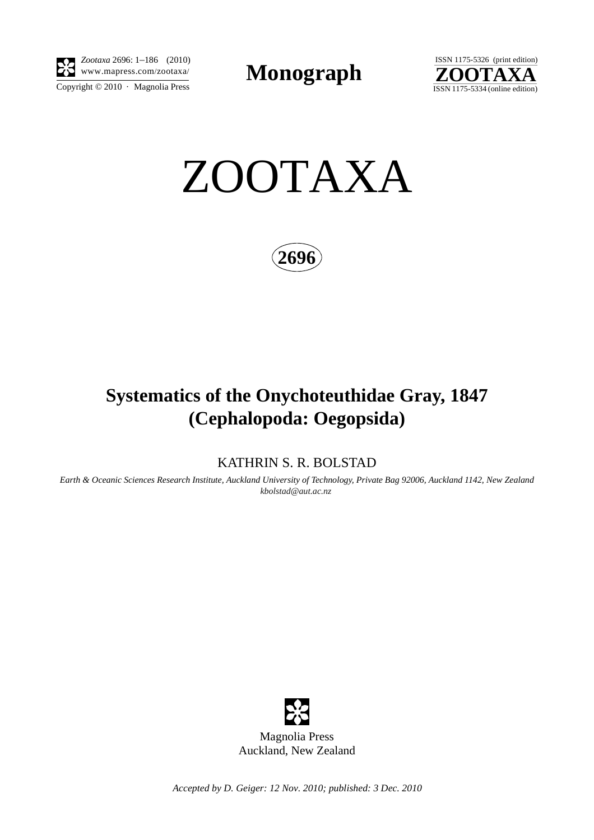

Copyright  $\odot$  2010 · Magnolia Press *Zootaxa* 2696: 1–186 (2010)

**Monograph** 





**2696**

# **Systematics of the Onychoteuthidae Gray, 1847 (Cephalopoda: Oegopsida)**

KATHRIN S. R. BOLSTAD

*Earth & Oceanic Sciences Research Institute, Auckland University of Technology, Private Bag 92006, Auckland 1142, New Zealand [kbolstad@aut.ac.nz](mailto:kbolst)*



*Accepted by D. Geiger: 12 Nov. 2010; published: 3 Dec. 2010*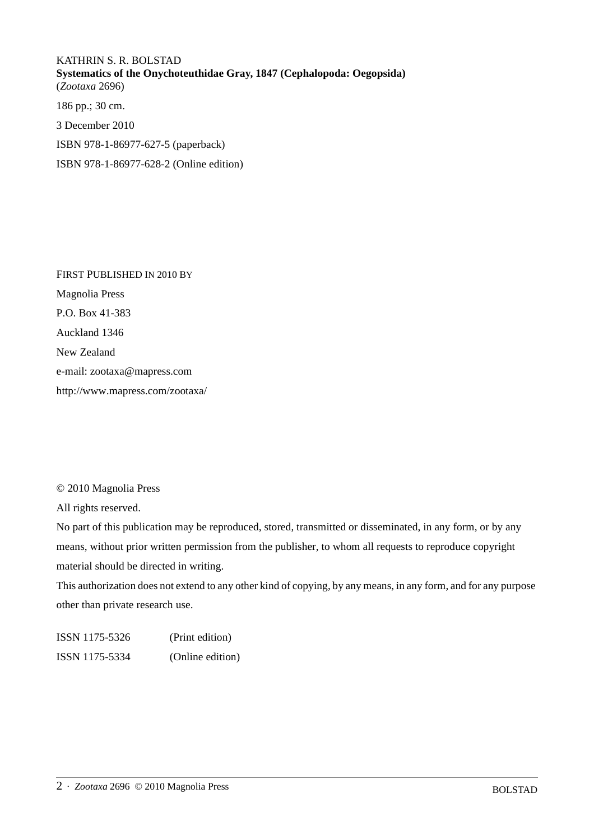KATHRIN S. R. BOLSTAD **Systematics of the Onychoteuthidae Gray, 1847 (Cephalopoda: Oegopsida)** (*Zootaxa* 2696) 186 pp.; 30 cm. 3 December 2010

ISBN 978-1-86977-627-5 (paperback)

ISBN 978-1-86977-628-2 (Online edition)

FIRST PUBLISHED IN 2010 BY Magnolia Press P.O. Box 41-383 Auckland 1346 New Zealand e-mail: zootaxa@mapress.com http://www.mapress.com/zootaxa/

## © 2010 Magnolia Press

All rights reserved.

No part of this publication may be reproduced, stored, transmitted or disseminated, in any form, or by any means, without prior written permission from the publisher, to whom all requests to reproduce copyright material should be directed in writing.

This authorization does not extend to any other kind of copying, by any means, in any form, and for any purpose other than private research use.

ISSN 1175-5326 (Print edition) ISSN 1175-5334 (Online edition)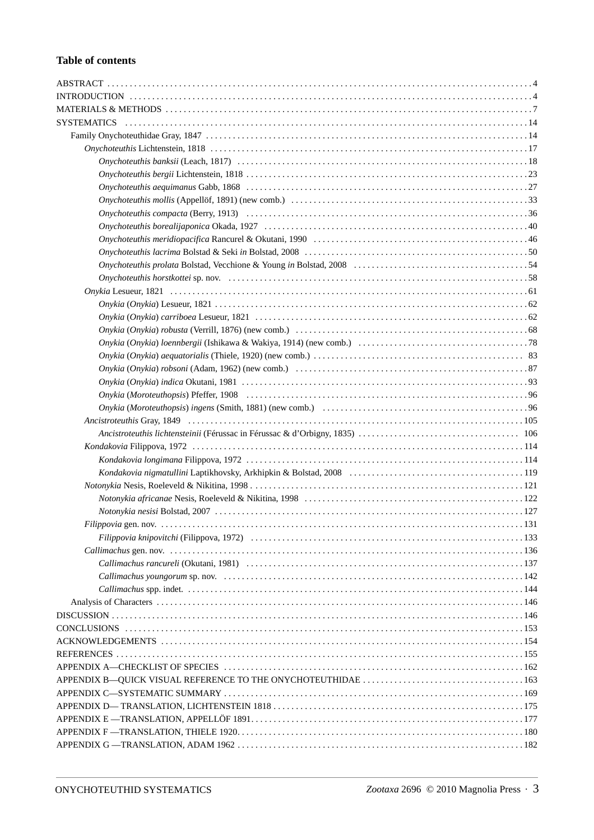# **Table of contents**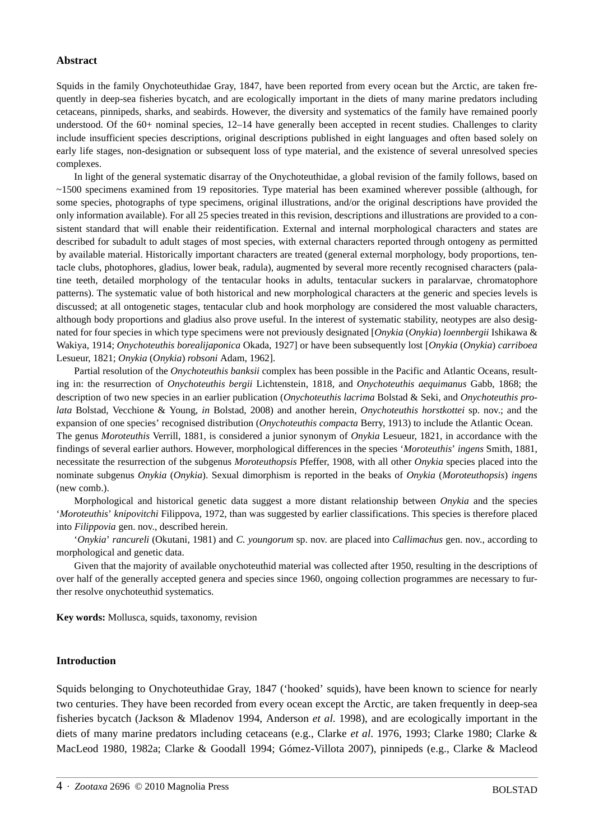### **Abstract**

Squids in the family Onychoteuthidae Gray, 1847, have been reported from every ocean but the Arctic, are taken frequently in deep-sea fisheries bycatch, and are ecologically important in the diets of many marine predators including cetaceans, pinnipeds, sharks, and seabirds. However, the diversity and systematics of the family have remained poorly understood. Of the 60+ nominal species, 12-14 have generally been accepted in recent studies. Challenges to clarity include insufficient species descriptions, original descriptions published in eight languages and often based solely on early life stages, non-designation or subsequent loss of type material, and the existence of several unresolved species complexes.

In light of the general systematic disarray of the Onychoteuthidae, a global revision of the family follows, based on ~1500 specimens examined from 19 repositories. Type material has been examined wherever possible (although, for some species, photographs of type specimens, original illustrations, and/or the original descriptions have provided the only information available). For all 25 species treated in this revision, descriptions and illustrations are provided to a consistent standard that will enable their reidentification. External and internal morphological characters and states are described for subadult to adult stages of most species, with external characters reported through ontogeny as permitted by available material. Historically important characters are treated (general external morphology, body proportions, tentacle clubs, photophores, gladius, lower beak, radula), augmented by several more recently recognised characters (palatine teeth, detailed morphology of the tentacular hooks in adults, tentacular suckers in paralarvae, chromatophore patterns). The systematic value of both historical and new morphological characters at the generic and species levels is discussed; at all ontogenetic stages, tentacular club and hook morphology are considered the most valuable characters, although body proportions and gladius also prove useful. In the interest of systematic stability, neotypes are also designated for four species in which type specimens were not previously designated [*Onykia* (*Onykia*) *loennbergii* Ishikawa & Wakiya, 1914; *Onychoteuthis borealijaponica* Okada, 1927] or have been subsequently lost [*Onykia* (*Onykia*) *carriboea*  Lesueur, 1821; *Onykia* (*Onykia*) *robsoni* Adam, 1962].

Partial resolution of the *Onychoteuthis banksii* complex has been possible in the Pacific and Atlantic Oceans, resulting in: the resurrection of *Onychoteuthis bergii* Lichtenstein, 1818, and *Onychoteuthis aequimanus* Gabb, 1868; the description of two new species in an earlier publication (*Onychoteuthis lacrima* Bolstad & Seki, and *Onychoteuthis prolata* Bolstad, Vecchione & Young, *in* Bolstad, 2008) and another herein, *Onychoteuthis horstkottei* sp. nov.; and the expansion of one species' recognised distribution (*Onychoteuthis compacta* Berry, 1913) to include the Atlantic Ocean. The genus *Moroteuthis* Verrill, 1881, is considered a junior synonym of *Onykia* Lesueur, 1821, in accordance with the findings of several earlier authors. However, morphological differences in the species '*Moroteuthis*' *ingens* Smith, 1881, necessitate the resurrection of the subgenus *Moroteuthopsis* Pfeffer, 1908, with all other *Onykia* species placed into the nominate subgenus *Onykia* (*Onykia*). Sexual dimorphism is reported in the beaks of *Onykia* (*Moroteuthopsis*) *ingens*  (new comb.).

Morphological and historical genetic data suggest a more distant relationship between *Onykia* and the species '*Moroteuthis*' *knipovitchi* Filippova, 1972, than was suggested by earlier classifications. This species is therefore placed into *Filippovia* gen. nov., described herein.

'*Onykia*' *rancureli* (Okutani, 1981) and *C. youngorum* sp. nov. are placed into *Callimachus* gen. nov., according to morphological and genetic data.

Given that the majority of available onychoteuthid material was collected after 1950, resulting in the descriptions of over half of the generally accepted genera and species since 1960, ongoing collection programmes are necessary to further resolve onychoteuthid systematics.

**Key words:** Mollusca, squids, taxonomy, revision

#### **Introduction**

Squids belonging to Onychoteuthidae Gray, 1847 ('hooked' squids), have been known to science for nearly two centuries. They have been recorded from every ocean except the Arctic, are taken frequently in deep-sea fisheries bycatch (Jackson & Mladenov 1994, Anderson *et al*. 1998), and are ecologically important in the diets of many marine predators including cetaceans (e.g., Clarke *et al.* 1976, 1993; Clarke 1980; Clarke & MacLeod 1980, 1982a; Clarke & Goodall 1994; Gómez-Villota 2007), pinnipeds (e.g., Clarke & Macleod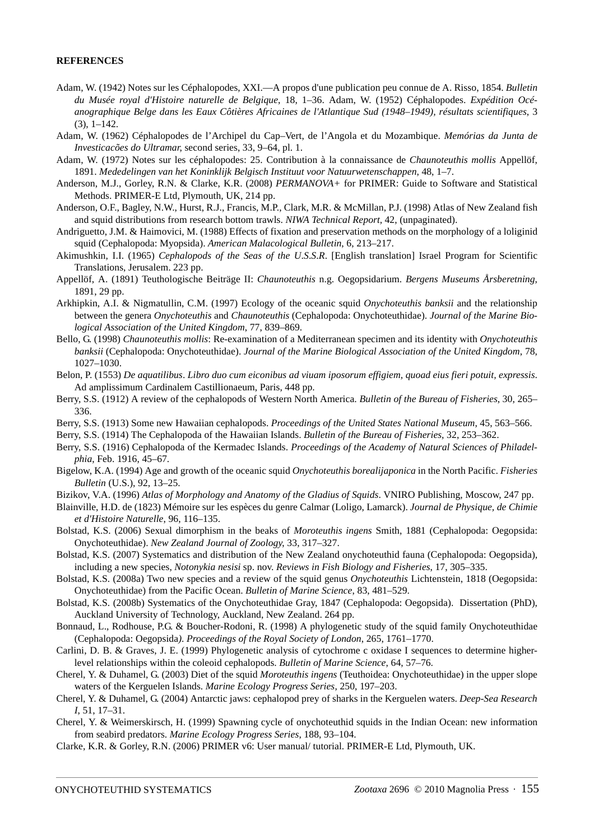#### **REFERENCES**

- Adam, W. (1942) Notes sur les Céphalopodes, XXI.—A propos d'une publication peu connue de A. Risso, 1854. *Bulletin du Musée royal d'Histoire naturelle de Belgique*, 18, 1–36. Adam, W. (1952) Céphalopodes. *Expédition Océanographique Belge dans les Eaux Côtières Africaines de l'Atlantique Sud (1948–1949), résultats scientifiques*, 3  $(3), 1-142.$
- Adam, W. (1962) Céphalopodes de l'Archipel du Cap–Vert, de l'Angola et du Mozambique. *Memórias da Junta de Investicacões do Ultramar,* second series, 33, 9–64, pl. 1.
- Adam, W. (1972) Notes sur les céphalopodes: 25. Contribution à la connaissance de *Chaunoteuthis mollis* Appellöf, 1891. *Mededelingen van het Koninklijk Belgisch Instituut voor Natuurwetenschappen*, 48, 1–7.
- Anderson, M.J., Gorley, R.N. & Clarke, K.R. (2008) *PERMANOVA+* for PRIMER: Guide to Software and Statistical Methods. PRIMER-E Ltd, Plymouth, UK, 214 pp.
- Anderson, O.F., Bagley, N.W., Hurst, R.J., Francis, M.P., Clark, M.R. & McMillan, P.J. (1998) Atlas of New Zealand fish and squid distributions from research bottom trawls. *NIWA Technical Report,* 42, (unpaginated).
- Andriguetto, J.M. & Haimovici, M. (1988) Effects of fixation and preservation methods on the morphology of a loliginid squid (Cephalopoda: Myopsida). *American Malacological Bulletin*, 6, 213–217.
- Akimushkin, I.I. (1965) *Cephalopods of the Seas of the U*.*S*.*S*.*R*. [English translation] Israel Program for Scientific Translations, Jerusalem. 223 pp.
- Appellöf, A. (1891) Teuthologische Beiträge II: *Chaunoteuthis* n.g. Oegopsidarium. *Bergens Museums Årsberetning*, 1891, 29 pp.
- Arkhipkin, A.I. & Nigmatullin, C.M. (1997) Ecology of the oceanic squid *Onychoteuthis banksii* and the relationship between the genera *Onychoteuthis* and *Chaunoteuthis* (Cephalopoda: Onychoteuthidae). *Journal of the Marine Biological Association of the United Kingdom*, 77, 839–869.
- Bello, G. (1998) *Chaunoteuthis mollis*: Re-examination of a Mediterranean specimen and its identity with *Onychoteuthis banksii* (Cephalopoda: Onychoteuthidae). *Journal of the Marine Biological Association of the United Kingdom*, 78, 1027–1030.
- Belon, P. (1553) *De aquatilibus*. *Libro duo cum eiconibus ad viuam iposorum effigiem, quoad eius fieri potuit, expressis*. Ad amplissimum Cardinalem Castillionaeum, Paris, 448 pp.
- Berry, S.S. (1912) A review of the cephalopods of Western North America. *Bulletin of the Bureau of Fisheries*, 30, 265– 336.
- Berry, S.S. (1913) Some new Hawaiian cephalopods. *Proceedings of the United States National Museum*, 45, 563–566.
- Berry, S.S. (1914) The Cephalopoda of the Hawaiian Islands. *Bulletin of the Bureau of Fisheries*, 32, 253–362.
- Berry, S.S. (1916) Cephalopoda of the Kermadec Islands. *Proceedings of the Academy of Natural Sciences of Philadelphia*, Feb. 1916, 45–67.
- Bigelow, K.A. (1994) Age and growth of the oceanic squid *Onychoteuthis borealijaponica* in the North Pacific. *Fisheries Bulletin* (U.S.), 92, 13–25.
- Bizikov, V.A. (1996) *Atlas of Morphology and Anatomy of the Gladius of Squids*. VNIRO Publishing, Moscow, 247 pp.
- Blainville, H.D. de (1823) Mémoire sur les espèces du genre Calmar (Loligo, Lamarck). *Journal de Physique, de Chimie et d'Histoire Naturelle*, 96, 116–135.
- Bolstad, K.S. (2006) Sexual dimorphism in the beaks of *Moroteuthis ingens* Smith, 1881 (Cephalopoda: Oegopsida: Onychoteuthidae). *New Zealand Journal of Zoology*, 33, 317–327.
- Bolstad, K.S. (2007) Systematics and distribution of the New Zealand onychoteuthid fauna (Cephalopoda: Oegopsida), including a new species, *Notonykia nesisi* sp. nov. *Reviews in Fish Biology and Fisheries*, 17, 305–335.
- Bolstad, K.S. (2008a) Two new species and a review of the squid genus *Onychoteuthis* Lichtenstein, 1818 (Oegopsida: Onychoteuthidae) from the Pacific Ocean. *Bulletin of Marine Science*, 83, 481–529.
- Bolstad, K.S. (2008b) Systematics of the Onychoteuthidae Gray, 1847 (Cephalopoda: Oegopsida). Dissertation (PhD), Auckland University of Technology, Auckland, New Zealand. 264 pp.
- Bonnaud, L., Rodhouse, P.G. & Boucher-Rodoni, R. (1998) A phylogenetic study of the squid family Onychoteuthidae (Cephalopoda: Oegopsida*)*. *Proceedings of the Royal Society of London*, 265, 1761–1770.
- Carlini, D. B. & Graves, J. E. (1999) Phylogenetic analysis of cytochrome c oxidase I sequences to determine higherlevel relationships within the coleoid cephalopods. *Bulletin of Marine Science*, 64, 57–76.
- Cherel, Y. & Duhamel, G. (2003) Diet of the squid *Moroteuthis ingens* (Teuthoidea: Onychoteuthidae) in the upper slope waters of the Kerguelen Islands. *Marine Ecology Progress Series*, 250, 197–203.
- Cherel, Y. & Duhamel, G. (2004) Antarctic jaws: cephalopod prey of sharks in the Kerguelen waters. *Deep-Sea Research I*, 51, 17–31.
- Cherel, Y. & Weimerskirsch, H. (1999) Spawning cycle of onychoteuthid squids in the Indian Ocean: new information from seabird predators. *Marine Ecology Progress Series*, 188, 93–104.
- Clarke, K.R. & Gorley, R.N. (2006) PRIMER v6: User manual/ tutorial. PRIMER-E Ltd, Plymouth, UK.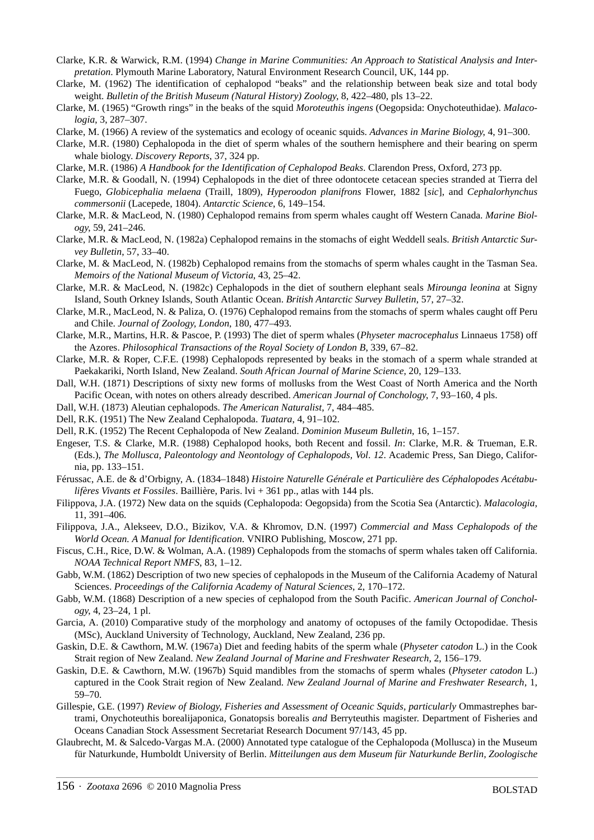- Clarke, K.R. & Warwick, R.M. (1994) *Change in Marine Communities: An Approach to Statistical Analysis and Interpretation*. Plymouth Marine Laboratory, Natural Environment Research Council, UK, 144 pp.
- Clarke, M. (1962) The identification of cephalopod "beaks" and the relationship between beak size and total body weight. *Bulletin of the British Museum (Natural History) Zoology*, 8, 422–480, pls 13–22.
- Clarke, M. (1965) "Growth rings" in the beaks of the squid *Moroteuthis ingens* (Oegopsida: Onychoteuthidae). *Malacologia*, 3, 287–307.
- Clarke, M. (1966) A review of the systematics and ecology of oceanic squids. *Advances in Marine Biology*, 4, 91–300.
- Clarke, M.R. (1980) Cephalopoda in the diet of sperm whales of the southern hemisphere and their bearing on sperm whale biology. *Discovery Reports*, 37, 324 pp.
- Clarke, M.R. (1986) *A Handbook for the Identification of Cephalopod Beaks*. Clarendon Press, Oxford, 273 pp.
- Clarke, M.R. & Goodall, N. (1994) Cephalopods in the diet of three odontocete cetacean species stranded at Tierra del Fuego, *Globicephalia melaena* (Traill, 1809), *Hyperoodon planifrons* Flower, 1882 [*sic*], and *Cephalorhynchus commersonii* (Lacepede, 1804). *Antarctic Science*, 6, 149–154.
- Clarke, M.R. & MacLeod, N. (1980) Cephalopod remains from sperm whales caught off Western Canada. *Marine Biology*, 59, 241–246.
- Clarke, M.R. & MacLeod, N. (1982a) Cephalopod remains in the stomachs of eight Weddell seals. *British Antarctic Survey Bulletin*, 57, 33–40.
- Clarke, M. & MacLeod, N. (1982b) Cephalopod remains from the stomachs of sperm whales caught in the Tasman Sea. *Memoirs of the National Museum of Victoria*, 43, 25–42.
- Clarke, M.R. & MacLeod, N. (1982c) Cephalopods in the diet of southern elephant seals *Mirounga leonina* at Signy Island, South Orkney Islands, South Atlantic Ocean. *British Antarctic Survey Bulletin*, 57, 27–32.
- Clarke, M.R., MacLeod, N. & Paliza, O. (1976) Cephalopod remains from the stomachs of sperm whales caught off Peru and Chile. *Journal of Zoology, London*, 180, 477–493.
- Clarke, M.R., Martins, H.R. & Pascoe, P. (1993) The diet of sperm whales (*Physeter macrocephalus* Linnaeus 1758) off the Azores. *Philosophical Transactions of the Royal Society of London B*, 339, 67–82.
- Clarke, M.R. & Roper, C.F.E. (1998) Cephalopods represented by beaks in the stomach of a sperm whale stranded at Paekakariki, North Island, New Zealand. *South African Journal of Marine Science*, 20, 129–133.
- Dall, W.H. (1871) Descriptions of sixty new forms of mollusks from the West Coast of North America and the North Pacific Ocean, with notes on others already described. *American Journal of Conchology*, 7, 93–160, 4 pls.
- Dall, W.H. (1873) Aleutian cephalopods. *The American Naturalist*, 7, 484–485.
- Dell, R.K. (1951) The New Zealand Cephalopoda. *Tuatara*, 4, 91–102.
- Dell, R.K. (1952) The Recent Cephalopoda of New Zealand. *Dominion Museum Bulletin*, 16, 1–157.
- Engeser, T.S. & Clarke, M.R. (1988) Cephalopod hooks, both Recent and fossil. *In*: Clarke, M.R. & Trueman, E.R. (Eds.), *The Mollusca, Paleontology and Neontology of Cephalopods, Vol*. *12*. Academic Press, San Diego, California, pp. 133–151.
- Férussac, A.E. de & d'Orbigny, A. (1834–1848) *Histoire Naturelle Générale et Particulière des Céphalopodes Acétabulifères Vivants et Fossiles*. Baillière, Paris. lvi + 361 pp., atlas with 144 pls.
- Filippova, J.A. (1972) New data on the squids (Cephalopoda: Oegopsida) from the Scotia Sea (Antarctic). *Malacologia*, 11, 391–406.
- Filippova, J.A., Alekseev, D.O., Bizikov, V.A. & Khromov, D.N. (1997) *Commercial and Mass Cephalopods of the World Ocean. A Manual for Identification*. VNIRO Publishing, Moscow, 271 pp.
- Fiscus, C.H., Rice, D.W. & Wolman, A.A. (1989) Cephalopods from the stomachs of sperm whales taken off California. *NOAA Technical Report NMFS*, 83, 1–12.
- Gabb, W.M. (1862) Description of two new species of cephalopods in the Museum of the California Academy of Natural Sciences. *Proceedings of the California Academy of Natural Sciences*, 2, 170–172.
- Gabb, W.M. (1868) Description of a new species of cephalopod from the South Pacific. *American Journal of Conchology*, 4, 23–24, 1 pl.
- Garcia, A. (2010) Comparative study of the morphology and anatomy of octopuses of the family Octopodidae. Thesis (MSc), Auckland University of Technology, Auckland, New Zealand, 236 pp.
- Gaskin, D.E. & Cawthorn, M.W. (1967a) Diet and feeding habits of the sperm whale (*Physeter catodon* L.) in the Cook Strait region of New Zealand. *New Zealand Journal of Marine and Freshwater Research*, 2, 156–179.
- Gaskin, D.E. & Cawthorn, M.W. (1967b) Squid mandibles from the stomachs of sperm whales (*Physeter catodon* L.) captured in the Cook Strait region of New Zealand. *New Zealand Journal of Marine and Freshwater Research*, 1, 59–70.
- Gillespie, G.E. (1997) *Review of Biology, Fisheries and Assessment of Oceanic Squids, particularly Ommastrephes bar*trami*,* Onychoteuthis borealijaponica*,* Gonatopsis borealis *and* Berryteuthis magister. Department of Fisheries and Oceans Canadian Stock Assessment Secretariat Research Document 97/143, 45 pp.
- Glaubrecht, M. & Salcedo-Vargas M.A. (2000) Annotated type catalogue of the Cephalopoda (Mollusca) in the Museum für Naturkunde, Humboldt University of Berlin. *Mitteilungen aus dem Museum für Naturkunde Berlin, Zoologische*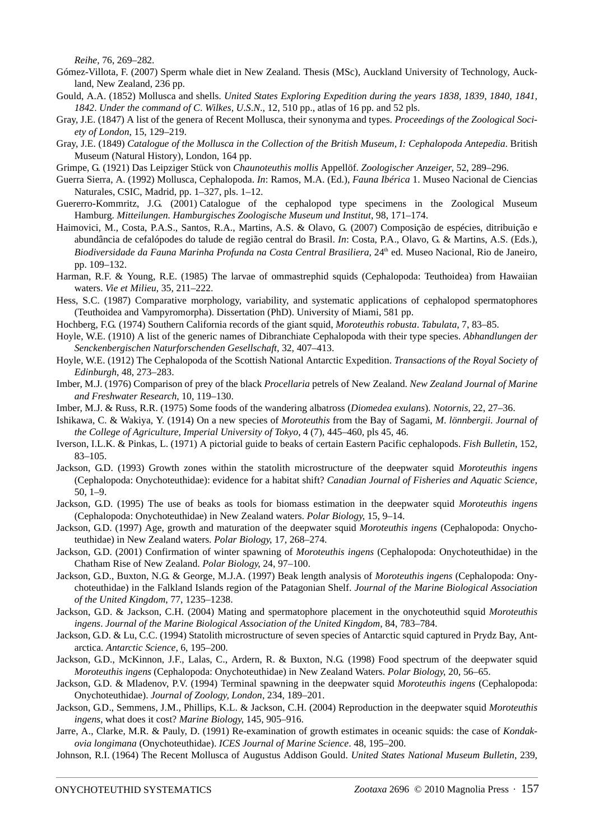*Reihe*, 76, 269–282.

- Gómez-Villota, F. (2007) Sperm whale diet in New Zealand. Thesis (MSc), Auckland University of Technology, Auckland, New Zealand, 236 pp.
- Gould, A.A. (1852) Mollusca and shells. *United States Exploring Expedition during the years 1838, 1839, 1840, 1841, 1842*. *Under the command of C*. *Wilkes, U*.*S*.*N*., 12, 510 pp., atlas of 16 pp. and 52 pls.
- Gray, J.E. (1847) A list of the genera of Recent Mollusca, their synonyma and types. *Proceedings of the Zoological Society of London*, 15, 129–219.
- Gray, J.E. (1849) *Catalogue of the Mollusca in the Collection of the British Museum, I: Cephalopoda Antepedia*. British Museum (Natural History), London, 164 pp.
- Grimpe, G. (1921) Das Leipziger Stück von *Chaunoteuthis mollis* Appellöf. *Zoologischer Anzeiger*, 52, 289–296.
- [Guerra Sierra, A. \(1992\) Mollusca, Cephalopoda.](http://www.fauna-iberica.mncn.csic.es/publ/ser_fi_vol1.html) *In*: Ramos, M.A. (Ed.), *Fauna Ibérica* 1. Museo Nacional de Ciencias Naturales, CSIC, Madrid, pp. 1–327, pls. 1–12.
- Guererro-Kommritz, J.G. (2001) Catalogue of the cephalopod type specimens in the Zoological Museum Hamburg. *Mitteilungen. Hamburgisches Zoologische Museum und Institut*, 98, 171–174.
- Haimovici, M., Costa, P.A.S., Santos, R.A., Martins, A.S. & Olavo, G. (2007) Composição de espécies, ditribuição e abundância de cefalópodes do talude de região central do Brasil. *In*: Costa, P.A., Olavo, G. & Martins, A.S. (Eds.), Biodiversidade da Fauna Marinha Profunda na Costa Central Brasiliera, 24<sup>th</sup> ed. Museo Nacional, Rio de Janeiro, pp. 109–132.
- Harman, R.F. & Young, R.E. (1985) The larvae of ommastrephid squids (Cephalopoda: Teuthoidea) from Hawaiian waters. *Vie et Milieu*, 35, 211–222.
- Hess, S.C. (1987) Comparative morphology, variability, and systematic applications of cephalopod spermatophores (Teuthoidea and Vampyromorpha). Dissertation (PhD). University of Miami, 581 pp.
- Hochberg, F.G. (1974) Southern California records of the giant squid, *Moroteuthis robusta*. *Tabulata*, 7, 83–85.
- Hoyle, W.E. (1910) A list of the generic names of Dibranchiate Cephalopoda with their type species. *Abhandlungen der Senckenbergischen Naturforschenden Gesellschaft*, 32, 407–413.
- Hoyle, W.E. (1912) The Cephalopoda of the Scottish National Antarctic Expedition. *Transactions of the Royal Society of Edinburgh*, 48, 273–283.
- Imber, M.J. (1976) Comparison of prey of the black *Procellaria* petrels of New Zealand. *New Zealand Journal of Marine and Freshwater Research*, 10, 119–130.
- Imber, M.J. & Russ, R.R. (1975) Some foods of the wandering albatross (*Diomedea exulans*). *Notornis*, 22, 27–36.
- Ishikawa, C. & Wakiya, Y. (1914) On a new species of *Moroteuthis* from the Bay of Sagami, *M*. *lönnbergii*. *Journal of the College of Agriculture, Imperial University of Tokyo,* 4 (7), 445–460, pls 45, 46.
- Iverson, I.L.K. & Pinkas, L. (1971) A pictorial guide to beaks of certain Eastern Pacific cephalopods. *Fish Bulletin*, 152, 83–105.
- Jackson, G.D. (1993) Growth zones within the statolith microstructure of the deepwater squid *Moroteuthis ingens* (Cephalopoda: Onychoteuthidae): evidence for a habitat shift? *Canadian Journal of Fisheries and Aquatic Science*, 50, 1–9.
- Jackson, G.D. (1995) The use of beaks as tools for biomass estimation in the deepwater squid *Moroteuthis ingens* (Cephalopoda: Onychoteuthidae) in New Zealand waters. *Polar Biology*, 15, 9–14.
- Jackson, G.D. (1997) Age, growth and maturation of the deepwater squid *Moroteuthis ingens* (Cephalopoda: Onychoteuthidae) in New Zealand waters. *Polar Biology*, 17, 268–274.
- Jackson, G.D. (2001) Confirmation of winter spawning of *Moroteuthis ingens* (Cephalopoda: Onychoteuthidae) in the Chatham Rise of New Zealand. *Polar Biology*, 24, 97–100.
- Jackson, G.D., Buxton, N.G. & George, M.J.A. (1997) Beak length analysis of *Moroteuthis ingens* (Cephalopoda: Onychoteuthidae) in the Falkland Islands region of the Patagonian Shelf. *Journal of the Marine Biological Association of the United Kingdom*, 77, 1235–1238.
- Jackson, G.D. & Jackson, C.H. (2004) Mating and spermatophore placement in the onychoteuthid squid *Moroteuthis ingens*. *Journal of the Marine Biological Association of the United Kingdom*, 84, 783–784.
- Jackson, G.D. & Lu, C.C. (1994) Statolith microstructure of seven species of Antarctic squid captured in Prydz Bay, Antarctica. *Antarctic Science*, 6, 195–200.
- Jackson, G.D., McKinnon, J.F., Lalas, C., Ardern, R. & Buxton, N.G. (1998) Food spectrum of the deepwater squid *Moroteuthis ingens* (Cephalopoda: Onychoteuthidae) in New Zealand Waters. *Polar Biology*, 20, 56–65.
- Jackson, G.D. & Mladenov, P.V. (1994) Terminal spawning in the deepwater squid *Moroteuthis ingens* (Cephalopoda: Onychoteuthidae). *Journal of Zoology, London*, 234, 189–201.
- Jackson, G.D., Semmens, J.M., Phillips, K.L. & Jackson, C.H. (2004) Reproduction in the deepwater squid *Moroteuthis ingens*, what does it cost? *Marine Biology*, 145, 905–916.
- Jarre, A., Clarke, M.R. & Pauly, D. (1991) Re-examination of growth estimates in oceanic squids: the case of *Kondakovia longimana* (Onychoteuthidae). *ICES Journal of Marine Science*. 48, 195–200.
- Johnson, R.I. (1964) The Recent Mollusca of Augustus Addison Gould. *United States National Museum Bulletin*, 239,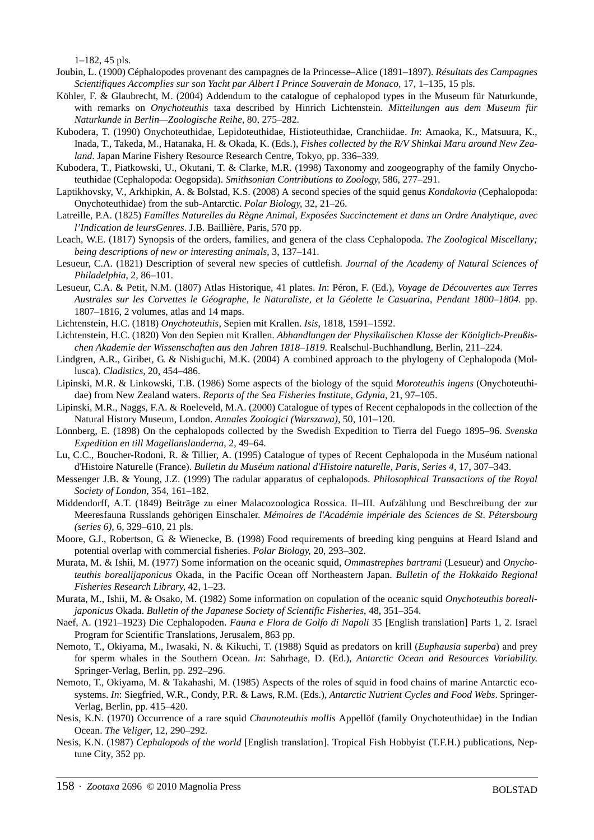1–182, 45 pls.

- Joubin, L. (1900) Céphalopodes provenant des campagnes de la Princesse–Alice (1891–1897). *Résultats des Campagnes Scientifiques Accomplies sur son Yacht par Albert I Prince Souverain de Monaco*, 17, 1–135, 15 pls.
- Köhler, F. & Glaubrecht, M. (2004) Addendum to the catalogue of cephalopod types in the Museum für Naturkunde, with remarks on *Onychoteuthis* taxa described by Hinrich Lichtenstein. *Mitteilungen aus dem Museum für Naturkunde in Berlin—Zoologische Reihe*, 80, 275–282.
- Kubodera, T. (1990) Onychoteuthidae, Lepidoteuthidae, Histioteuthidae, Cranchiidae. *In*: Amaoka, K., Matsuura, K., Inada, T., Takeda, M., Hatanaka, H. & Okada, K. (Eds.), *Fishes collected by the R/V Shinkai Maru around New Zealand*. Japan Marine Fishery Resource Research Centre, Tokyo, pp. 336–339.
- Kubodera, T., Piatkowski, U., Okutani, T. & Clarke, M.R. (1998) Taxonomy and zoogeography of the family Onychoteuthidae (Cephalopoda: Oegopsida). *Smithsonian Contributions to Zoology*, 586, 277–291.
- Laptikhovsky, V., Arkhipkin, A. & Bolstad, K.S. (2008) A second species of the squid genus *Kondakovia* (Cephalopoda: Onychoteuthidae) from the sub-Antarctic. *Polar Biology*, 32, 21–26.
- Latreille, P.A. (1825) *Familles Naturelles du Règne Animal, Exposées Succinctement et dans un Ordre Analytique, avec l'Indication de leursGenres*. J.B. Baillière, Paris, 570 pp.
- Leach, W.E. (1817) Synopsis of the orders, families, and genera of the class Cephalopoda. *The Zoological Miscellany; being descriptions of new or interesting animals*, 3, 137–141.
- Lesueur, C.A. (1821) Description of several new species of cuttlefish. *Journal of the Academy of Natural Sciences of Philadelphia*, 2, 86–101.
- Lesueur, C.A. & Petit, N.M. (1807) Atlas Historique, 41 plates. *In*: Péron, F. (Ed.), *Voyage de Découvertes aux Terres Australes sur les Corvettes le Géographe, le Naturaliste, et la Géolette le Casuarina, Pendant 1800–1804*. pp. 1807–1816, 2 volumes, atlas and 14 maps.
- Lichtenstein, H.C. (1818) *Onychoteuthis*, Sepien mit Krallen. *Isis*, 1818, 1591–1592.
- Lichtenstein, H.C. (1820) Von den Sepien mit Krallen. *Abhandlungen der Physikalischen Klasse der Königlich-Preußischen Akademie der Wissenschaften aus den Jahren 1818–1819*. Realschul-Buchhandlung, Berlin, 211–224.
- Lindgren, A.R., Giribet, G. & Nishiguchi, M.K. (2004) A combined approach to the phylogeny of Cephalopoda (Mollusca). *Cladistics*, 20, 454–486.
- Lipinski, M.R. & Linkowski, T.B. (1986) Some aspects of the biology of the squid *Moroteuthis ingens* (Onychoteuthidae) from New Zealand waters. *Reports of the Sea Fisheries Institute, Gdynia*, 21, 97–105.
- Lipinski, M.R., Naggs, F.A. & Roeleveld, M.A. (2000) Catalogue of types of Recent cephalopods in the collection of the Natural History Museum, London. *Annales Zoologici (Warszawa)*, 50, 101–120.
- Lönnberg, E. (1898) On the cephalopods collected by the Swedish Expedition to Tierra del Fuego 1895–96. *Svenska Expedition en till Magellanslanderna*, 2, 49–64.
- Lu, C.C., Boucher-Rodoni, R. & Tillier, A. (1995) Catalogue of types of Recent Cephalopoda in the Muséum national d'Histoire Naturelle (France). *Bulletin du Muséum national d'Histoire naturelle, Paris, Series 4*, 17, 307–343.
- Messenger J.B. & Young, J.Z. (1999) The radular apparatus of cephalopods. *Philosophical Transactions of the Royal Society of London*, 354, 161–182.
- Middendorff, A.T. (1849) Beiträge zu einer Malacozoologica Rossica. II–III. Aufzählung und Beschreibung der zur Meeresfauna Russlands gehörigen Einschaler. *Mémoires de l'Académie impériale des Sciences de St*. *Pétersbourg (series 6)*, 6, 329–610, 21 pls.
- Moore, G.J., Robertson, G. & Wienecke, B. (1998) Food requirements of breeding king penguins at Heard Island and potential overlap with commercial fisheries. *Polar Biology*, 20, 293–302.
- Murata, M. & Ishii, M. (1977) Some information on the oceanic squid, *Ommastrephes bartrami* (Lesueur) and *Onychoteuthis borealijaponicus* Okada, in the Pacific Ocean off Northeastern Japan. *Bulletin of the Hokkaido Regional Fisheries Research Library*, 42, 1–23.
- Murata, M., Ishii, M. & Osako, M. (1982) Some information on copulation of the oceanic squid *Onychoteuthis borealijaponicus* Okada. *Bulletin of the Japanese Society of Scientific Fisheries*, 48, 351–354.
- Naef, A. (1921–1923) Die Cephalopoden. *Fauna e Flora de Golfo di Napoli* 35 [English translation] Parts 1, 2. Israel Program for Scientific Translations, Jerusalem, 863 pp.
- Nemoto, T., Okiyama, M., Iwasaki, N. & Kikuchi, T. (1988) Squid as predators on krill (*Euphausia superba*) and prey for sperm whales in the Southern Ocean. *In*: Sahrhage, D. (Ed.), *Antarctic Ocean and Resources Variability*. Springer-Verlag, Berlin, pp. 292–296.
- Nemoto, T., Okiyama, M. & Takahashi, M. (1985) Aspects of the roles of squid in food chains of marine Antarctic ecosystems. *In*: Siegfried, W.R., Condy, P.R. & Laws, R.M. (Eds.), *Antarctic Nutrient Cycles and Food Webs*. Springer-Verlag, Berlin, pp. 415–420.
- Nesis, K.N. (1970) Occurrence of a rare squid *Chaunoteuthis mollis* Appellöf (family Onychoteuthidae) in the Indian Ocean. *The Veliger*, 12, 290–292.
- Nesis, K.N. (1987) *Cephalopods of the world* [English translation]. Tropical Fish Hobbyist (T.F.H.) publications, Neptune City, 352 pp.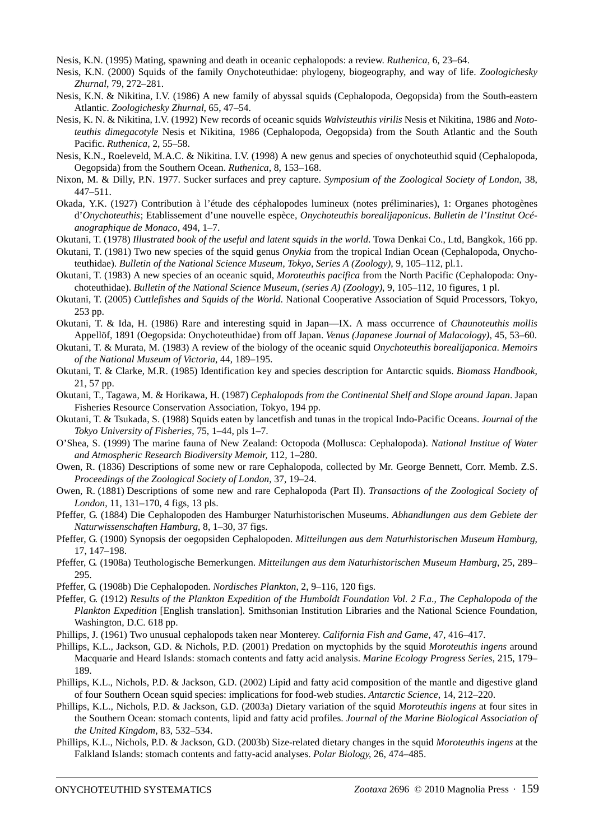Nesis, K.N. (1995) Mating, spawning and death in oceanic cephalopods: a review. *Ruthenica*, 6, 23–64.

Nesis, K.N. (2000) Squids of the family Onychoteuthidae: phylogeny, biogeography, and way of life. *Zoologichesky Zhurnal*, 79, 272–281.

- Nesis, K.N. & Nikitina, I.V. (1986) A new family of abyssal squids (Cephalopoda, Oegopsida) from the South-eastern Atlantic. *Zoologichesky Zhurnal*, 65, 47–54.
- Nesis, K. N. & Nikitina, I.V. (1992) New records of oceanic squids *Walvisteuthis virilis* Nesis et Nikitina, 1986 and *Nototeuthis dimegacotyle* Nesis et Nikitina, 1986 (Cephalopoda, Oegopsida) from the South Atlantic and the South Pacific. *Ruthenica*, 2, 55–58.
- Nesis, K.N., Roeleveld, M.A.C. & Nikitina. I.V. (1998) A new genus and species of onychoteuthid squid (Cephalopoda, Oegopsida) from the Southern Ocean. *Ruthenica*, 8, 153–168.
- Nixon, M. & Dilly, P.N. 1977. Sucker surfaces and prey capture. *Symposium of the Zoological Society of London*, 38, 447–511.
- Okada, Y.K. (1927) Contribution à l'étude des céphalopodes lumineux (notes préliminaries), 1: Organes photogènes d'*Onychoteuthis*; Etablissement d'une nouvelle espèce, *Onychoteuthis borealijaponicus*. *Bulletin de l'Institut Océanographique de Monaco*, 494, 1–7.
- Okutani, T. (1978) *Illustrated book of the useful and latent squids in the world*. Towa Denkai Co., Ltd, Bangkok, 166 pp.
- Okutani, T. (1981) Two new species of the squid genus *Onykia* from the tropical Indian Ocean (Cephalopoda, Onychoteuthidae). *Bulletin of the National Science Museum, Tokyo, Series A (Zoology)*, 9, 105–112, pl.1.
- Okutani, T. (1983) A new species of an oceanic squid, *Moroteuthis pacifica* from the North Pacific (Cephalopoda: Onychoteuthidae). *Bulletin of the National Science Museum, (series A) (Zoology)*, 9, 105–112, 10 figures, 1 pl.
- Okutani, T. (2005) *Cuttlefishes and Squids of the World*. National Cooperative Association of Squid Processors, Tokyo, 253 pp.
- Okutani, T. & Ida, H. (1986) Rare and interesting squid in Japan—IX. A mass occurrence of *Chaunoteuthis mollis* Appellöf, 1891 (Oegopsida: Onychoteuthidae) from off Japan. *Venus (Japanese Journal of Malacology)*, 45, 53–60.
- Okutani, T. & Murata, M. (1983) A review of the biology of the oceanic squid *Onychoteuthis borealijaponica*. *Memoirs of the National Museum of Victoria*, 44, 189–195.
- Okutani, T. & Clarke, M.R. (1985) Identification key and species description for Antarctic squids. *Biomass Handbook*, 21, 57 pp.
- Okutani, T., Tagawa, M. & Horikawa, H. (1987) *Cephalopods from the Continental Shelf and Slope around Japan*. Japan Fisheries Resource Conservation Association, Tokyo, 194 pp.
- Okutani, T. & Tsukada, S. (1988) Squids eaten by lancetfish and tunas in the tropical Indo-Pacific Oceans. *Journal of the Tokyo University of Fisheries*, 75, 1–44, pls 1–7.
- O'Shea, S. (1999) The marine fauna of New Zealand: Octopoda (Mollusca: Cephalopoda). *National Institue of Water and Atmospheric Research Biodiversity Memoir,* 112*,* 1–280.
- Owen, R. (1836) Descriptions of some new or rare Cephalopoda, collected by Mr. George Bennett, Corr. Memb. Z.S. *Proceedings of the Zoological Society of London*, 37, 19–24.
- Owen, R. (1881) Descriptions of some new and rare Cephalopoda (Part II). *Transactions of the Zoological Society of London*, 11, 131–170, 4 figs, 13 pls.
- Pfeffer, G. (1884) Die Cephalopoden des Hamburger Naturhistorischen Museums. *Abhandlungen aus dem Gebiete der Naturwissenschaften Hamburg*, 8, 1–30, 37 figs.
- Pfeffer, G. (1900) Synopsis der oegopsiden Cephalopoden. *Mitteilungen aus dem Naturhistorischen Museum Hamburg*, 17, 147–198.
- Pfeffer, G. (1908a) Teuthologische Bemerkungen. *Mitteilungen aus dem Naturhistorischen Museum Hamburg*, 25, 289– 295.
- Pfeffer, G. (1908b) Die Cephalopoden. *Nordisches Plankton*, 2, 9–116, 120 figs.
- Pfeffer, G. (1912) *Results of the Plankton Expedition of the Humboldt Foundation Vol*. *2 F*.*a*.*, The Cephalopoda of the Plankton Expedition* [English translation]. Smithsonian Institution Libraries and the National Science Foundation, Washington, D.C. 618 pp.
- Phillips, J. (1961) Two unusual cephalopods taken near Monterey. *California Fish and Game*, 47, 416–417.
- Phillips, K.L., Jackson, G.D. & Nichols, P.D. (2001) Predation on myctophids by the squid *Moroteuthis ingens* around Macquarie and Heard Islands: stomach contents and fatty acid analysis. *Marine Ecology Progress Series*, 215, 179– 189.
- Phillips, K.L., Nichols, P.D. & Jackson, G.D. (2002) Lipid and fatty acid composition of the mantle and digestive gland of four Southern Ocean squid species: implications for food-web studies. *Antarctic Science*, 14, 212–220.
- Phillips, K.L., Nichols, P.D. & Jackson, G.D. (2003a) Dietary variation of the squid *Moroteuthis ingens* at four sites in the Southern Ocean: stomach contents, lipid and fatty acid profiles. *Journal of the Marine Biological Association of the United Kingdom*, 83, 532–534.
- Phillips, K.L., Nichols, P.D. & Jackson, G.D. (2003b) Size-related dietary changes in the squid *Moroteuthis ingens* at the Falkland Islands: stomach contents and fatty-acid analyses. *Polar Biology*, 26, 474–485.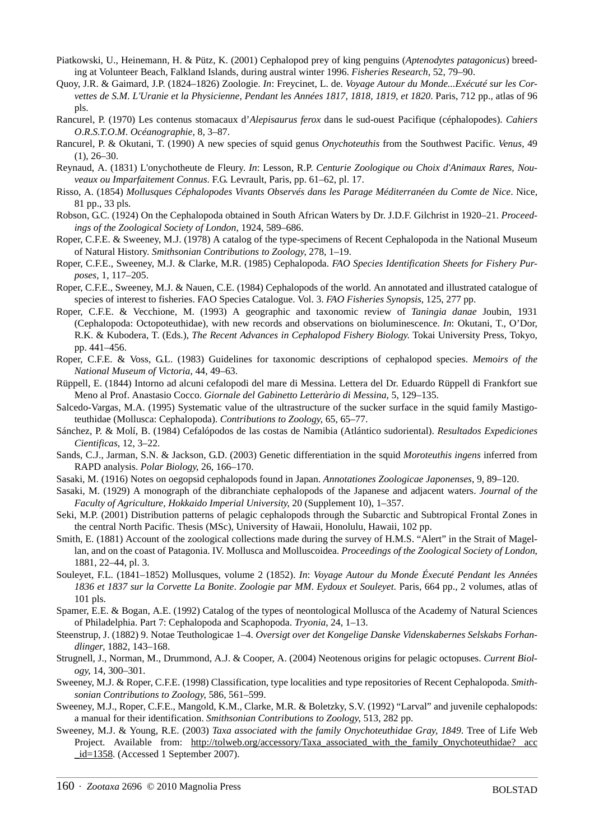- Piatkowski, U., Heinemann, H. & Pütz, K. (2001) Cephalopod prey of king penguins (*Aptenodytes patagonicus*) breeding at Volunteer Beach, Falkland Islands, during austral winter 1996. *Fisheries Research*, 52, 79–90.
- Quoy, J.R. & Gaimard, J.P. (1824–1826) Zoologie. *In*: Freycinet, L. de. *Voyage Autour du Monde...Exécuté sur les Corvettes de S.M. L'Uranie et la Physicienne, Pendant les Années 1817, 1818, 1819, et 1820*. Paris, 712 pp., atlas of 96 pls.
- Rancurel, P. (1970) Les contenus stomacaux d'*Alepisaurus ferox* dans le sud-ouest Pacifique (céphalopodes). *Cahiers O*.*R*.*S*.*T*.*O*.*M*. *Océanographie*, 8, 3–87.
- Rancurel, P. & Okutani, T. (1990) A new species of squid genus *Onychoteuthis* from the Southwest Pacific. *Venus*, 49  $(1), 26-30.$
- Reynaud, A. (1831) L'onychotheute de Fleury. *In*: Lesson, R.P. *Centurie Zoologique ou Choix d'Animaux Rares, Nouveaux ou Imparfaitement Connus*. F.G. Levrault, Paris, pp. 61–62, pl. 17.
- Risso, A. (1854) *Mollusques Céphalopodes Vivants Observés dans les Parage Méditerranéen du Comte de Nice*. Nice, 81 pp., 33 pls.
- Robson, G.C. (1924) On the Cephalopoda obtained in South African Waters by Dr. J.D.F. Gilchrist in 1920–21. *Proceedings of the Zoological Society of London*, 1924, 589–686.
- Roper, C.F.E. & Sweeney, M.J. (1978) A catalog of the type-specimens of Recent Cephalopoda in the National Museum of Natural History. *Smithsonian Contributions to Zoology*, 278, 1–19.
- Roper, C.F.E., Sweeney, M.J. & Clarke, M.R. (1985) Cephalopoda. *FAO Species Identification Sheets for Fishery Purposes*, 1, 117–205.
- Roper, C.F.E., Sweeney, M.J. & Nauen, C.E. (1984) Cephalopods of the world. An annotated and illustrated catalogue of species of interest to fisheries. FAO Species Catalogue. Vol. 3. *FAO Fisheries Synopsis*, 125, 277 pp.
- Roper, C.F.E. & Vecchione, M. (1993) A geographic and taxonomic review of *Taningia danae* Joubin, 1931 (Cephalopoda: Octopoteuthidae), with new records and observations on bioluminescence. *In*: Okutani, T., O'Dor, R.K. & Kubodera, T. (Eds.), *The Recent Advances in Cephalopod Fishery Biology*. Tokai University Press, Tokyo, pp. 441–456.
- Roper, C.F.E. & Voss, G.L. (1983) Guidelines for taxonomic descriptions of cephalopod species. *Memoirs of the National Museum of Victoria*, 44, 49–63.
- Rüppell, E. (1844) Intorno ad alcuni cefalopodi del mare di Messina. Lettera del Dr. Eduardo Rüppell di Frankfort sue Meno al Prof. Anastasio Cocco. *Giornale del Gabinetto Letteràrio di Messina*, 5, 129–135.
- Salcedo-Vargas, M.A. (1995) Systematic value of the ultrastructure of the sucker surface in the squid family Mastigoteuthidae (Mollusca: Cephalopoda). *Contributions to Zoology*, 65, 65–77.
- Sánchez, P. & Molí, B. (1984) Cefalópodos de las costas de Namibia (Atlántico sudoriental). *Resultados Expediciones Cientificas*, 12, 3–22.
- Sands, C.J., Jarman, S.N. & Jackson, G.D. (2003) Genetic differentiation in the squid *Moroteuthis ingens* inferred from RAPD analysis. *Polar Biology*, 26, 166–170.
- Sasaki, M. (1916) Notes on oegopsid cephalopods found in Japan. *Annotationes Zoologicae Japonenses*, 9, 89–120.
- Sasaki, M. (1929) A monograph of the dibranchiate cephalopods of the Japanese and adjacent waters. *Journal of the Faculty of Agriculture, Hokkaido Imperial University*, 20 (Supplement 10), 1–357.
- Seki, M.P. (2001) Distribution patterns of pelagic cephalopods through the Subarctic and Subtropical Frontal Zones in the central North Pacific. Thesis (MSc), University of Hawaii, Honolulu, Hawaii, 102 pp.
- Smith, E. (1881) Account of the zoological collections made during the survey of H.M.S. "Alert" in the Strait of Magellan, and on the coast of Patagonia. IV. Mollusca and Molluscoidea. *Proceedings of the Zoological Society of London*, 1881, 22–44, pl. 3.
- Souleyet, F.L. (1841–1852) Mollusques, volume 2 (1852). *In*: *Voyage Autour du Monde Éxecuté Pendant les Années 1836 et 1837 sur la Corvette La Bonite*. *Zoologie par MM*. *Eydoux et Souleyet*. Paris, 664 pp., 2 volumes, atlas of 101 pls.

Spamer, E.E. & Bogan, A.E. (1992) Catalog of the types of neontological Mollusca of the Academy of Natural Sciences of Philadelphia. Part 7: Cephalopoda and Scaphopoda. *Tryonia*, 24, 1–13.

- Steenstrup, J. (1882) 9. Notae Teuthologicae 1–4. *Oversigt over det Kongelige Danske Videnskabernes Selskabs Forhandlinger*, 1882, 143–168.
- Strugnell, J., Norman, M., Drummond, A.J. & Cooper, A. (2004) Neotenous origins for pelagic octopuses. *Current Biology*, 14, 300–301.
- Sweeney, M.J. & Roper, C.F.E. (1998) Classification, type localities and type repositories of Recent Cephalopoda. *Smithsonian Contributions to Zoology*, 586, 561–599.
- Sweeney, M.J., Roper, C.F.E., Mangold, K.M., Clarke, M.R. & Boletzky, S.V. (1992) "Larval" and juvenile cephalopods: a manual for their identification. *Smithsonian Contributions to Zoology*, 513, 282 pp.
- Sweeney, M.J. & Young, R.E. (2003) *Taxa associated with the family Onychoteuthidae Gray, 1849*. Tree of Life Web Project. Available from: [http://tolweb.org/accessory/Taxa\\_associated\\_with\\_the\\_family\\_Onychoteuthidae? acc](http://tolweb.org/accessory/Taxa_associated_with_the_family_Onychoteuthi) [\\_id=1358.](http://tolweb.org/accessory/Taxa_associated_with_the_family_Onychoteuthi) (Accessed 1 September 2007).